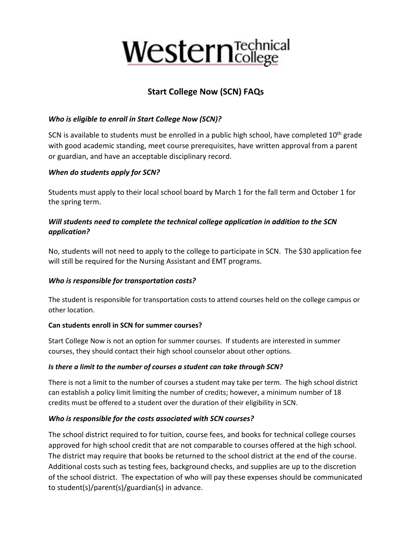# **Western** Technical

# **Start College Now (SCN) FAQs**

# *Who is eligible to enroll in Start College Now (SCN)?*

SCN is available to students must be enrolled in a public high school, have completed  $10<sup>th</sup>$  grade with good academic standing, meet course prerequisites, have written approval from a parent or guardian, and have an acceptable disciplinary record.

# *When do students apply for SCN?*

Students must apply to their local school board by March 1 for the fall term and October 1 for the spring term.

## *Will students need to complete the technical college application in addition to the SCN application?*

No, students will not need to apply to the college to participate in SCN. The \$30 application fee will still be required for the Nursing Assistant and EMT programs.

# *Who is responsible for transportation costs?*

The student is responsible for transportation costs to attend courses held on the college campus or other location.

#### **Can students enroll in SCN for summer courses?**

Start College Now is not an option for summer courses. If students are interested in summer courses, they should contact their high school counselor about other options.

# *Is there a limit to the number of courses a student can take through SCN?*

There is not a limit to the number of courses a student may take per term. The high school district can establish a policy limit limiting the number of credits; however, a minimum number of 18 credits must be offered to a student over the duration of their eligibility in SCN.

# *Who is responsible for the costs associated with SCN courses?*

The school district required to for tuition, course fees, and books for technical college courses approved for high school credit that are not comparable to courses offered at the high school. The district may require that books be returned to the school district at the end of the course. Additional costs such as testing fees, background checks, and supplies are up to the discretion of the school district. The expectation of who will pay these expenses should be communicated to student(s)/parent(s)/guardian(s) in advance.